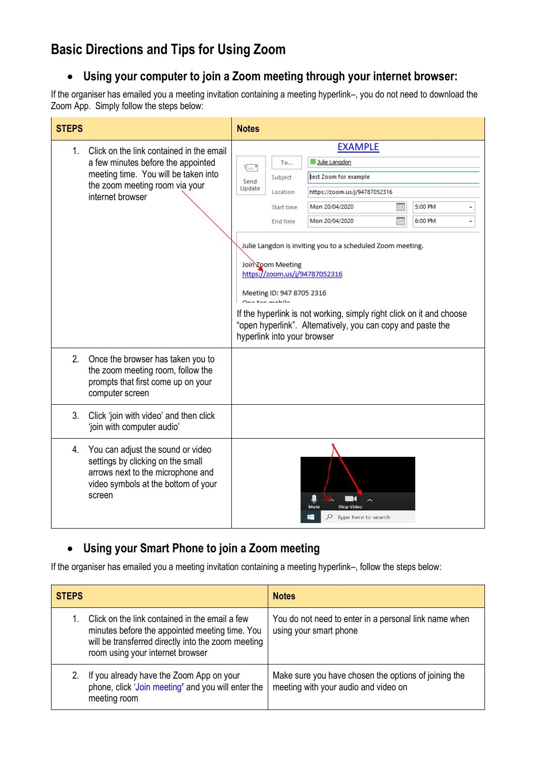# **Basic Directions and Tips for Using Zoom**

# **Using your computer to join a Zoom meeting through your internet browser:**

If the organiser has emailed you a meeting invitation containing a meeting hyperlink–, you do not need to download the Zoom App. Simply follow the steps below:

| <b>STEPS</b> |                                                                                                                                                                              | <b>Notes</b>                                                                                                                                                                                                                                                                                                                                                                                                                                                                                                                                                                                                 |
|--------------|------------------------------------------------------------------------------------------------------------------------------------------------------------------------------|--------------------------------------------------------------------------------------------------------------------------------------------------------------------------------------------------------------------------------------------------------------------------------------------------------------------------------------------------------------------------------------------------------------------------------------------------------------------------------------------------------------------------------------------------------------------------------------------------------------|
| 1.           | Click on the link contained in the email<br>a few minutes before the appointed<br>meeting time. You will be taken into<br>the zoom meeting room via your<br>internet browser | <b>EXAMPLE</b><br>Julie Langdon<br><b>To</b><br>카드 -<br>test Zoom for example<br>Subject<br>Send<br>Update<br>Location<br>https://zoom.us/j/94787052316<br>Mon 20/04/2020<br>5:00 PM<br>讍<br>Start time<br><u>ing</u><br>6:00 PM<br>Mon 20/04/2020<br>End time<br>Julie Langdon is inviting you to a scheduled Zoom meeting.<br>Join Zoom Meeting<br>https://zoom.us/j/94787052316<br>Meeting ID: 947 8705 2316<br>.<br>Ona tan mahila<br>If the hyperlink is not working, simply right click on it and choose<br>"open hyperlink". Alternatively, you can copy and paste the<br>hyperlink into your browser |
| 2.           | Once the browser has taken you to<br>the zoom meeting room, follow the<br>prompts that first come up on your<br>computer screen                                              |                                                                                                                                                                                                                                                                                                                                                                                                                                                                                                                                                                                                              |
| 3.           | Click 'join with video' and then click<br>'join with computer audio'                                                                                                         |                                                                                                                                                                                                                                                                                                                                                                                                                                                                                                                                                                                                              |
| 4.           | You can adjust the sound or video<br>settings by clicking on the small<br>arrows next to the microphone and<br>video symbols at the bottom of your<br>screen                 | <b>Stop Vider</b><br>Æ<br>Type here to search                                                                                                                                                                                                                                                                                                                                                                                                                                                                                                                                                                |

# **Using your Smart Phone to join a Zoom meeting**

If the organiser has emailed you a meeting invitation containing a meeting hyperlink–, follow the steps below:

| <b>STEPS</b> |                                                                                                                                                                                            | <b>Notes</b>                                                                                 |
|--------------|--------------------------------------------------------------------------------------------------------------------------------------------------------------------------------------------|----------------------------------------------------------------------------------------------|
|              | Click on the link contained in the email a few<br>minutes before the appointed meeting time. You<br>will be transferred directly into the zoom meeting<br>room using your internet browser | You do not need to enter in a personal link name when<br>using your smart phone              |
|              | If you already have the Zoom App on your<br>phone, click 'Join meeting' and you will enter the<br>meeting room                                                                             | Make sure you have chosen the options of joining the<br>meeting with your audio and video on |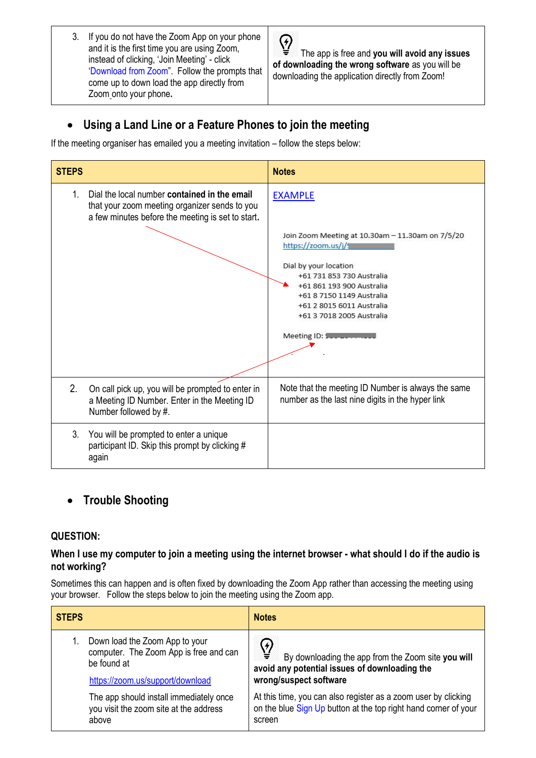3. If you do not have the Zoom App on your phone and it is the first time you are using Zoom, instead of clicking, 'Join Meeting' - click 'Download from Zoom". Follow the prompts that come up to down load the app directly from Zoom onto your phone**.** 

 $\overline{Q}$ The app is free and **you will avoid any issues of downloading the wrong software** as you will be downloading the application directly from Zoom!

# **Using a Land Line or a Feature Phones to join the meeting**

If the meeting organiser has emailed you a meeting invitation – follow the steps below:

| <b>STEPS</b> |                                                                                                                                                    | <b>Notes</b>                                                                                                                                                                                                                                                        |
|--------------|----------------------------------------------------------------------------------------------------------------------------------------------------|---------------------------------------------------------------------------------------------------------------------------------------------------------------------------------------------------------------------------------------------------------------------|
| $1_{\cdot}$  | Dial the local number contained in the email<br>that your zoom meeting organizer sends to you<br>a few minutes before the meeting is set to start. | <b>EXAMPLE</b><br>Join Zoom Meeting at 10.30am - 11.30am on 7/5/20<br>https://zoom.us/j/s<br>Dial by your location<br>+61 731 853 730 Australia<br>+61 861 193 900 Australia<br>+61 8 7150 1149 Australia<br>+61 2 8015 6011 Australia<br>+61 3 7018 2005 Australia |
| 2.           | On call pick up, you will be prompted to enter in<br>a Meeting ID Number. Enter in the Meeting ID<br>Number followed by #.                         | Note that the meeting ID Number is always the same<br>number as the last nine digits in the hyper link                                                                                                                                                              |
| 3.           | You will be prompted to enter a unique<br>participant ID. Skip this prompt by clicking #<br>again                                                  |                                                                                                                                                                                                                                                                     |

# **Trouble Shooting**

## **QUESTION:**

#### **When I use my computer to join a meeting using the internet browser - what should I do if the audio is not working?**

Sometimes this can happen and is often fixed by downloading the Zoom App rather than accessing the meeting using your browser. Follow the steps below to join the meeting using the Zoom app.

| <b>STEPS</b>                            | <b>Notes</b>                                                    |
|-----------------------------------------|-----------------------------------------------------------------|
| Down load the Zoom App to your          | ⊻ٍ                                                              |
| computer. The Zoom App is free and can  | By downloading the app from the Zoom site you will              |
| be found at                             | avoid any potential issues of downloading the                   |
| https://zoom.us/support/download        | wrong/suspect software                                          |
| The app should install immediately once | At this time, you can also register as a zoom user by clicking  |
| you visit the zoom site at the address  | on the blue Sign Up button at the top right hand corner of your |
| above                                   | screen                                                          |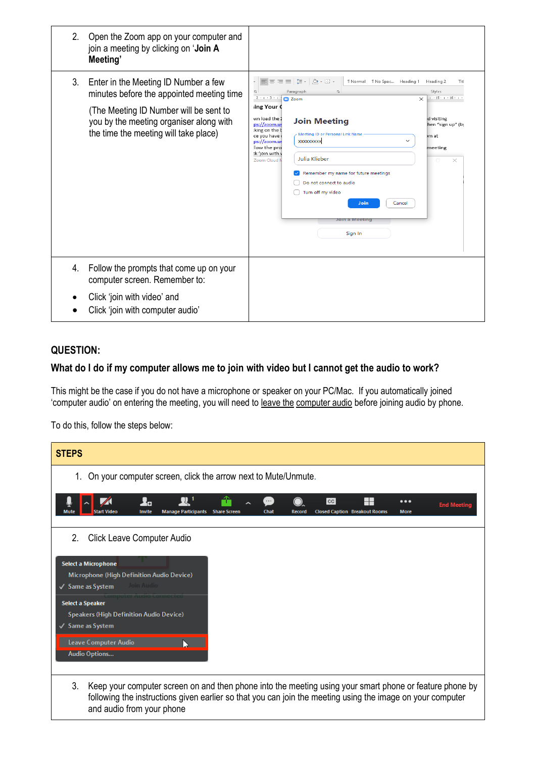| 2. | Open the Zoom app on your computer and<br>join a meeting by clicking on 'Join A<br>Meeting'                                                                                                                     |                                                                                                                                                                                                                                                                                                                                                                                                                                                                                                                                                                                                                                                                                                                |
|----|-----------------------------------------------------------------------------------------------------------------------------------------------------------------------------------------------------------------|----------------------------------------------------------------------------------------------------------------------------------------------------------------------------------------------------------------------------------------------------------------------------------------------------------------------------------------------------------------------------------------------------------------------------------------------------------------------------------------------------------------------------------------------------------------------------------------------------------------------------------------------------------------------------------------------------------------|
| 3. | Enter in the Meeting ID Number a few<br>minutes before the appointed meeting time<br>(The Meeting ID Number will be sent to<br>you by the meeting organiser along with<br>the time the meeting will take place) | 三<br>$I \equiv -$<br>$\bigcirc$ - H -<br>1 Normal 1 No Spac Heading 1<br>$\equiv$ $\equiv$<br>Heading 2<br>Titl<br>Paragraph<br>Styles<br>Γs.<br>$\overline{\mathbb{F}_\mathbb{R}}$ .<br>$2 + 1 + 3 + 1$<br>$+15 + + +16 + +$<br><b>CI</b> Zoom<br>$\times$<br>ing Your (<br>wn load the 2<br>d visiting<br><b>Join Meeting</b><br>ps://zoom.us<br>hen "sign up" (by<br>king on the b<br>Meeting ID or Personal Link Name<br>ce you have<br>om at<br><b>XXXXXXXXXX</b><br>ps://zoom.us<br>low the pro<br>meeting<br>:k 'join with y<br>Julia Klieber<br>Zoom Cloud<br>×<br>Remember my name for future meetings<br>Do not connect to audio<br>Turn off my video<br>Join<br>Cancel<br>Join a Meeting<br>Sign In |
| 4. | Follow the prompts that come up on your<br>computer screen. Remember to:<br>Click 'join with video' and<br>Click 'join with computer audio'                                                                     |                                                                                                                                                                                                                                                                                                                                                                                                                                                                                                                                                                                                                                                                                                                |

# **QUESTION:**

# **What do I do if my computer allows me to join with video but I cannot get the audio to work?**

This might be the case if you do not have a microphone or speaker on your PC/Mac. If you automatically joined 'computer audio' on entering the meeting, you will need to leave the computer audio before joining audio by phone.

To do this, follow the steps below:

| <b>STEPS</b>                                                                                                                                                                                                                                             |  |  |
|----------------------------------------------------------------------------------------------------------------------------------------------------------------------------------------------------------------------------------------------------------|--|--|
| On your computer screen, click the arrow next to Mute/Unmute.<br>1.                                                                                                                                                                                      |  |  |
| ło<br>$_{\rm CC}$<br>$\cdots$<br>$\bullet\bullet\bullet$<br><b>End Meetin</b><br><b>Invite</b><br><b>Chat</b><br><b>More</b><br>Start Video<br><b>Manage Participants</b><br><b>Closed Caption Breakout Rooms</b><br>Record                              |  |  |
| 2.<br><b>Click Leave Computer Audio</b>                                                                                                                                                                                                                  |  |  |
| Select a Microphone<br>Microphone (High Definition Audio Device)<br>Join Audio<br>√ Same as System                                                                                                                                                       |  |  |
| <b>Select a Speaker</b><br><b>Speakers (High Definition Audio Device)</b>                                                                                                                                                                                |  |  |
| √ Same as System<br>Leave Computer Audio                                                                                                                                                                                                                 |  |  |
| Audio Options                                                                                                                                                                                                                                            |  |  |
| 3.<br>Keep your computer screen on and then phone into the meeting using your smart phone or feature phone by<br>following the instructions given earlier so that you can join the meeting using the image on your computer<br>and audio from your phone |  |  |